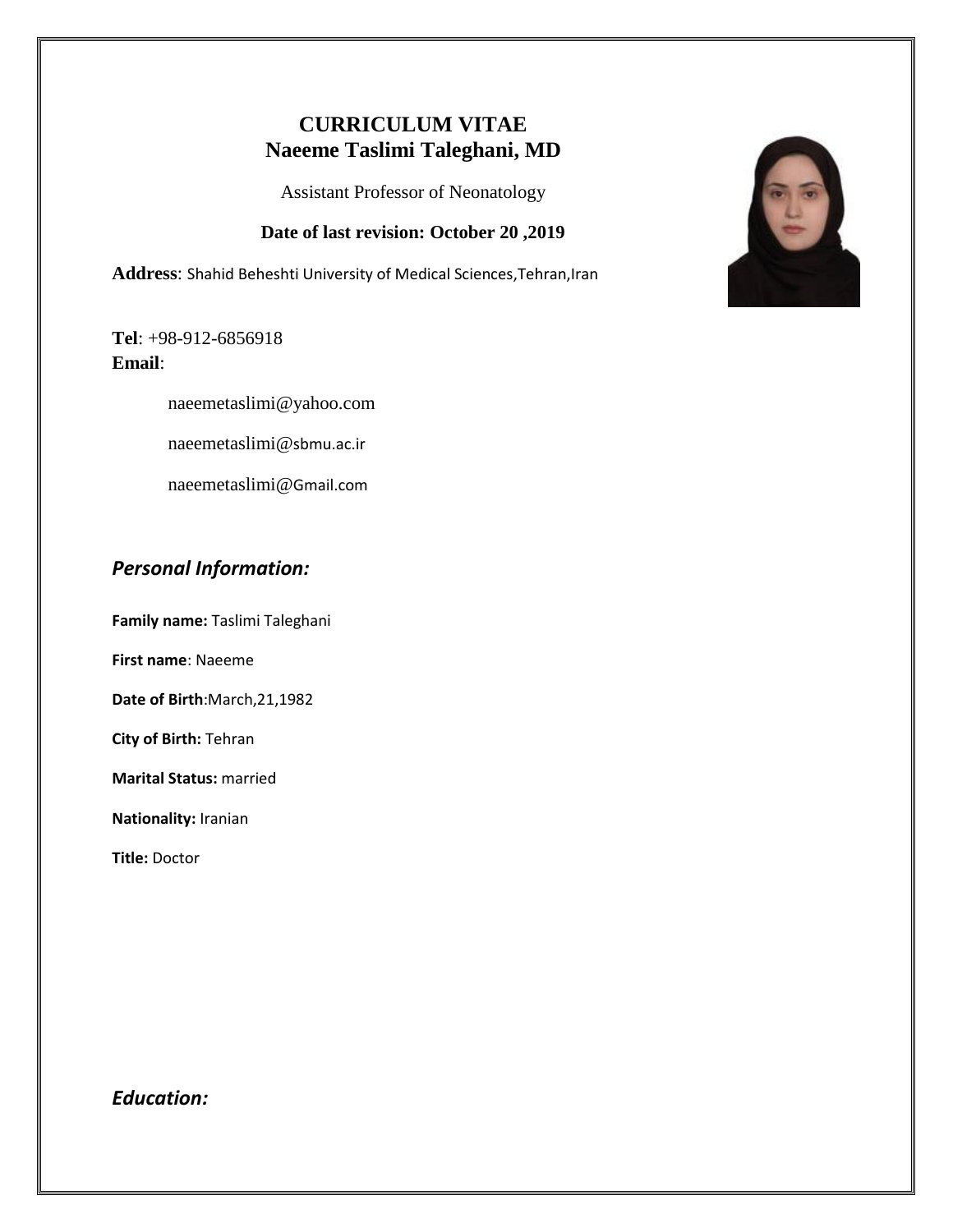# **CURRICULUM VITAE Naeeme Taslimi Taleghani, MD**

Assistant Professor of Neonatology

### **Date of last revision: October 20 ,2019**

**Address**: Shahid Beheshti University of Medical Sciences,Tehran,Iran

**Tel**: +98-912-6856918 **Email**:

[naeemetaslimi@yahoo.com](mailto:naeemetaslimi@yahoo.com)

naeemetaslimi@sbmu.ac.ir

naeemetaslimi@Gmail.com

## *Personal Information:*

**Family name:** Taslimi Taleghani

**First name**: Naeeme

**Date of Birth**:March,21,1982

**City of Birth:** Tehran

**Marital Status:** married

**Nationality:** Iranian

**Title:** Doctor

## *Education:*

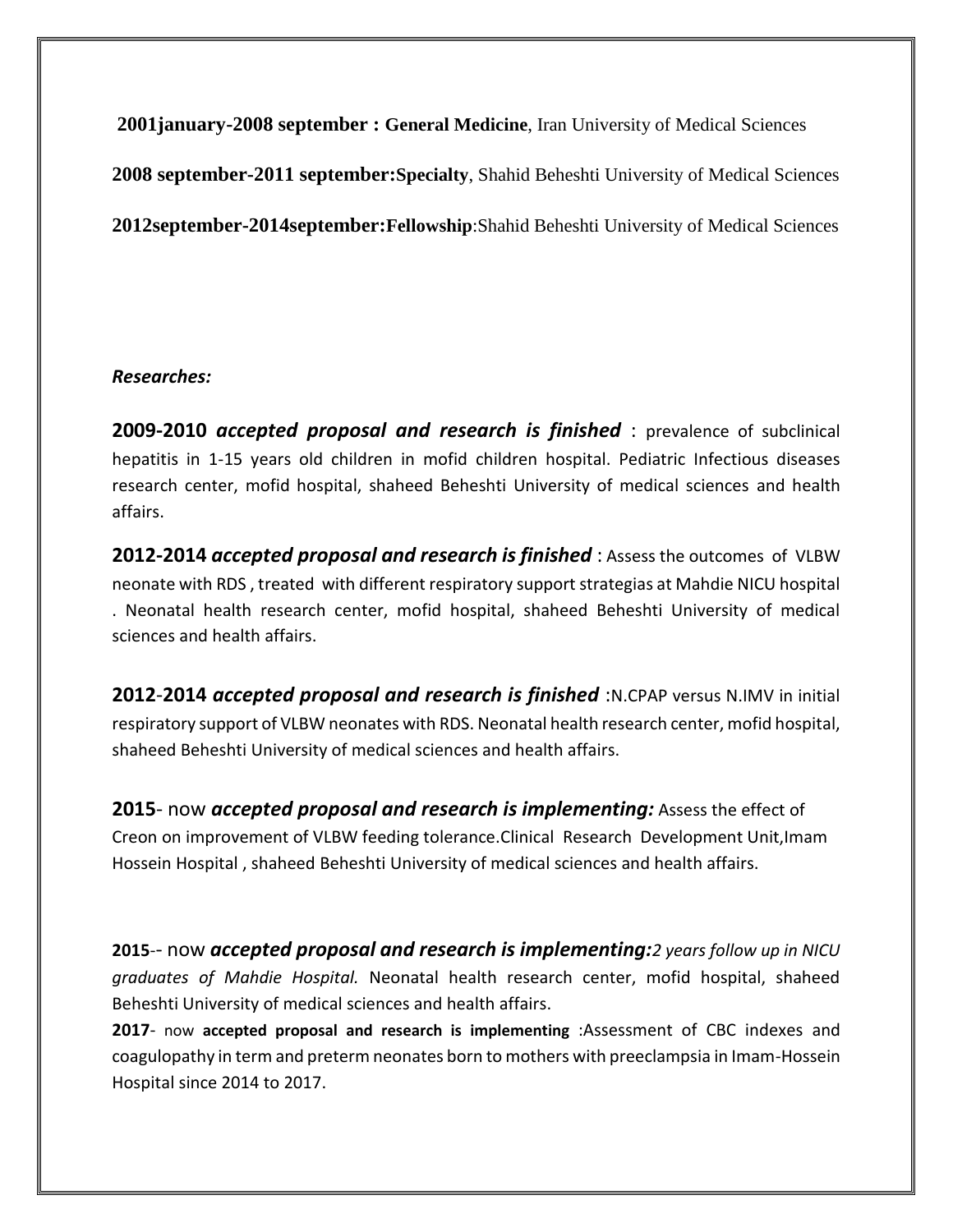**2001january-2008 september : General Medicine**, Iran University of Medical Sciences

**2008 september-2011 september:Specialty**, Shahid Beheshti University of Medical Sciences

**2012september-2014september:Fellowship**:Shahid Beheshti University of Medical Sciences

## *Researches:*

**2009-2010** *accepted proposal and research is finished* : prevalence of subclinical hepatitis in 1-15 years old children in mofid children hospital. Pediatric Infectious diseases research center, mofid hospital, shaheed Beheshti University of medical sciences and health affairs.

**2012-2014** *accepted proposal and research is finished* : Assess the outcomes of VLBW neonate with RDS , treated with different respiratory support strategias at Mahdie NICU hospital . Neonatal health research center, mofid hospital, shaheed Beheshti University of medical sciences and health affairs.

**2012**-**2014** *accepted proposal and research is finished* :N.CPAP versus N.IMV in initial respiratory support of VLBW neonates with RDS. Neonatal health research center, mofid hospital, shaheed Beheshti University of medical sciences and health affairs.

**2015**- now *accepted proposal and research is implementing:* Assess the effect of Creon on improvement of VLBW feeding tolerance.Clinical Research Development Unit,Imam Hossein Hospital , shaheed Beheshti University of medical sciences and health affairs.

**2015**-- now *accepted proposal and research is implementing:2 years follow up in NICU graduates of Mahdie Hospital.* Neonatal health research center, mofid hospital, shaheed Beheshti University of medical sciences and health affairs.

**2017**- now **accepted proposal and research is implementing** :Assessment of CBC indexes and coagulopathy in term and preterm neonates born to mothers with preeclampsia in Imam-Hossein Hospital since 2014 to 2017.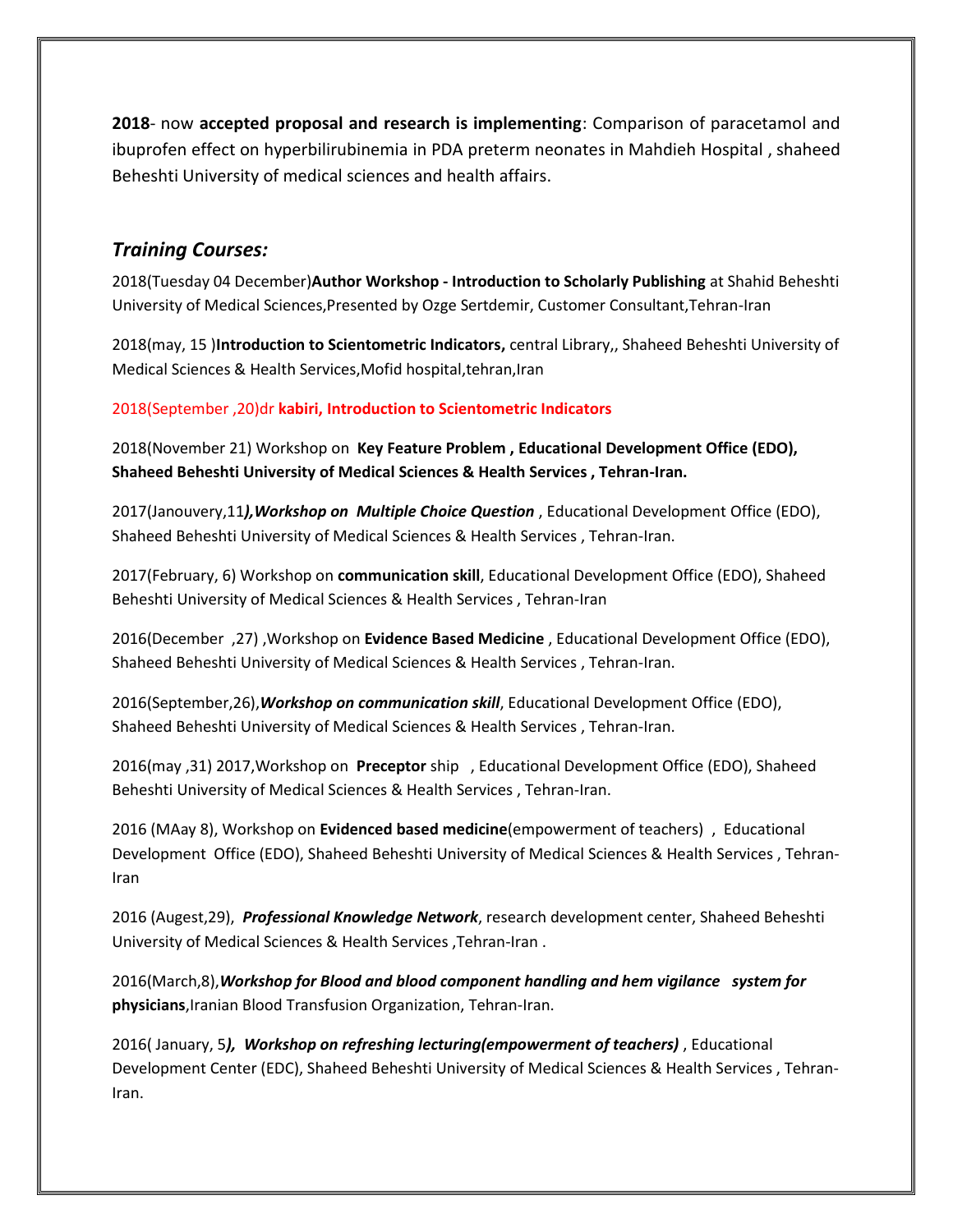**2018**- now **accepted proposal and research is implementing**: Comparison of paracetamol and ibuprofen effect on hyperbilirubinemia in PDA preterm neonates in Mahdieh Hospital , shaheed Beheshti University of medical sciences and health affairs.

## *Training Courses:*

2018(Tuesday 04 December)**Author Workshop - Introduction to Scholarly Publishing** at Shahid Beheshti University of Medical Sciences,Presented by Ozge Sertdemir, Customer Consultant,Tehran-Iran

2018(may, 15 )**Introduction to Scientometric Indicators,** central Library,, Shaheed Beheshti University of Medical Sciences & Health Services,Mofid hospital,tehran,Iran

2018(September ,20)dr **kabiri, Introduction to Scientometric Indicators**

2018(November 21) Workshop on **Key Feature Problem , Educational Development Office (EDO), Shaheed Beheshti University of Medical Sciences & Health Services , Tehran-Iran.**

2017(Janouvery,11*),Workshop on Multiple Choice Question* , Educational Development Office (EDO), Shaheed Beheshti University of Medical Sciences & Health Services , Tehran-Iran.

2017(February, 6) Workshop on **communication skill**, Educational Development Office (EDO), Shaheed Beheshti University of Medical Sciences & Health Services , Tehran-Iran

2016(December ,27) ,Workshop on **Evidence Based Medicine** , Educational Development Office (EDO), Shaheed Beheshti University of Medical Sciences & Health Services , Tehran-Iran.

2016(September,26),*Workshop on communication skill*, Educational Development Office (EDO), Shaheed Beheshti University of Medical Sciences & Health Services , Tehran-Iran.

2016(may ,31) 2017,Workshop on **Preceptor** ship , Educational Development Office (EDO), Shaheed Beheshti University of Medical Sciences & Health Services , Tehran-Iran.

2016 (MAay 8), Workshop on **Evidenced based medicine**(empowerment of teachers) , Educational Development Office (EDO), Shaheed Beheshti University of Medical Sciences & Health Services , Tehran-Iran

2016 (Augest,29), *Professional Knowledge Network*, research development center, Shaheed Beheshti University of Medical Sciences & Health Services ,Tehran-Iran .

2016(March,8),*Workshop for Blood and blood component handling and hem vigilance system for* **physicians**,Iranian Blood Transfusion Organization, Tehran-Iran.

2016( January, 5*), Workshop on refreshing lecturing(empowerment of teachers)* , Educational Development Center (EDC), Shaheed Beheshti University of Medical Sciences & Health Services , Tehran-Iran.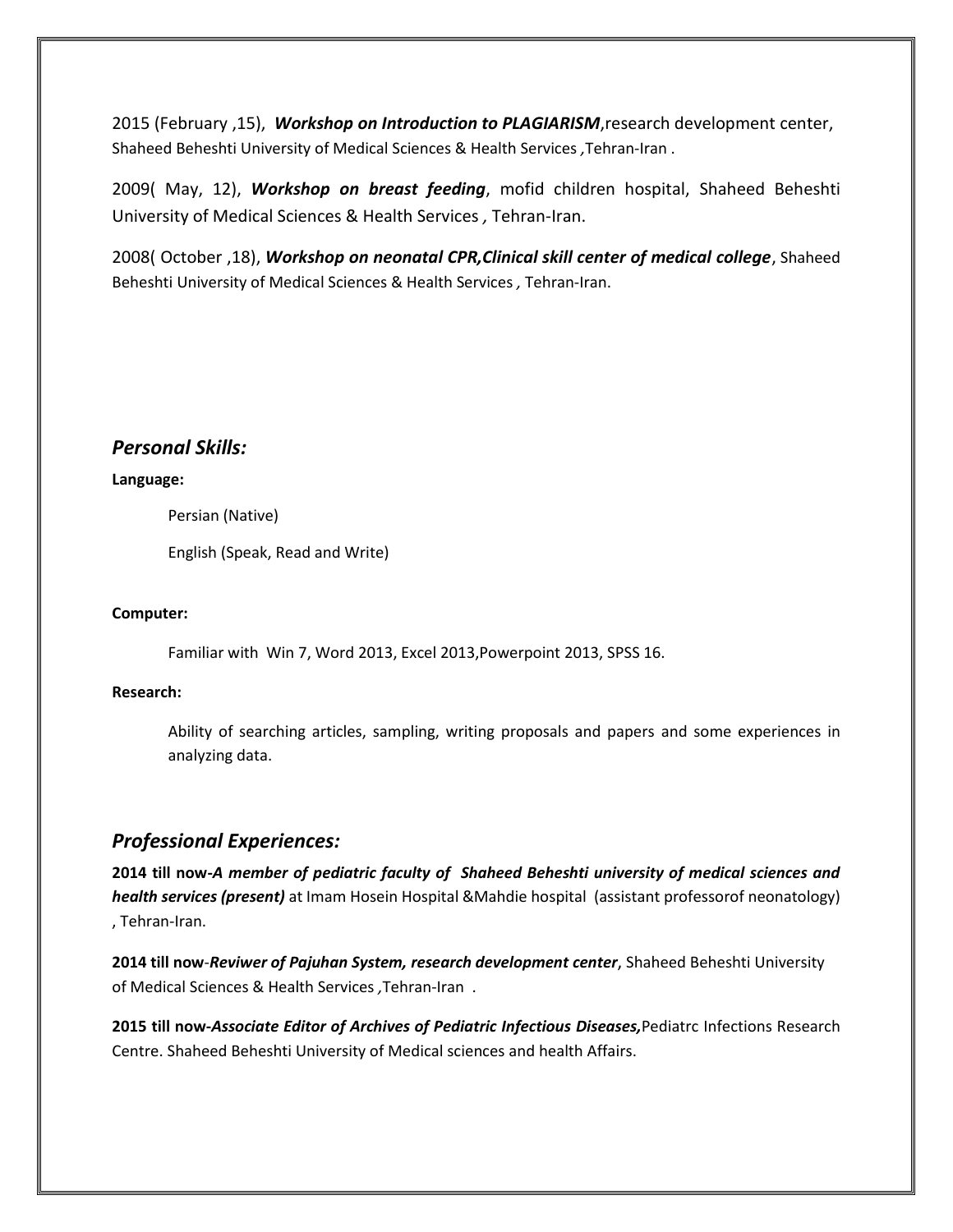2015 (February ,15), *Workshop on Introduction to PLAGIARISM*,research development center, Shaheed Beheshti University of Medical Sciences & Health Services *,*Tehran-Iran .

2009( May, 12), *Workshop on breast feeding*, mofid children hospital, Shaheed Beheshti University of Medical Sciences & Health Services *,* Tehran-Iran.

2008( October ,18), *Workshop on neonatal CPR,Clinical skill center of medical college*, Shaheed Beheshti University of Medical Sciences & Health Services *,* Tehran-Iran.

### *Personal Skills:*

#### **Language:**

Persian (Native)

English (Speak, Read and Write)

#### **Computer:**

Familiar with Win 7, Word 2013, Excel 2013,Powerpoint 2013, SPSS 16.

#### **Research:**

Ability of searching articles, sampling, writing proposals and papers and some experiences in analyzing data.

## *Professional Experiences:*

**2014 till now-***A member of pediatric faculty of Shaheed Beheshti university of medical sciences and health services (present)* at Imam Hosein Hospital &Mahdie hospital (assistant professorof neonatology) , Tehran-Iran.

**2014 till now**-*Reviwer of Pajuhan System, research development center*, Shaheed Beheshti University of Medical Sciences & Health Services *,*Tehran-Iran .

**2015 till now-***Associate Editor of Archives of Pediatric Infectious Diseases,*Pediatrc Infections Research Centre. Shaheed Beheshti University of Medical sciences and health Affairs.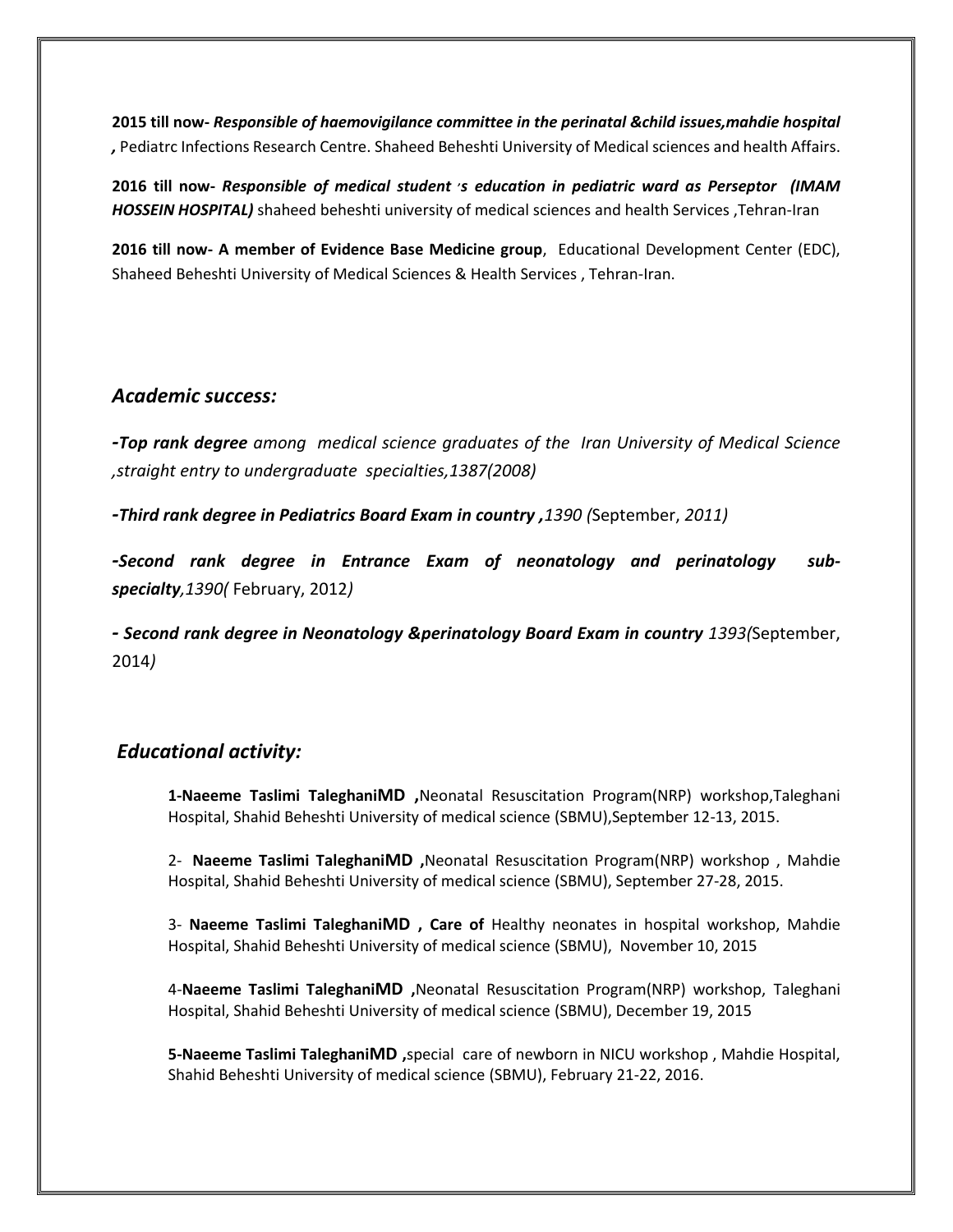**2015 till now-** *Responsible of haemovigilance committee in the perinatal &child issues,mahdie hospital ,* Pediatrc Infections Research Centre. Shaheed Beheshti University of Medical sciences and health Affairs.

**2016 till now-** *Responsible of medical student , s education in pediatric ward as Perseptor (IMAM HOSSEIN HOSPITAL)* shaheed beheshti university of medical sciences and health Services ,Tehran-Iran

**2016 till now- A member of Evidence Base Medicine group**, Educational Development Center (EDC), Shaheed Beheshti University of Medical Sciences & Health Services , Tehran-Iran.

### *Academic success:*

*-Top rank degree among medical science graduates of the Iran University of Medical Science ,straight entry to undergraduate specialties,1387(2008)*

*-Third rank degree in Pediatrics Board Exam in country ,1390 (*September, *2011)*

*-Second rank degree in Entrance Exam of neonatology and perinatology subspecialty,1390(* February, 2012*)*

*- Second rank degree in Neonatology &perinatology Board Exam in country 1393(*September, 2014*)*

## *Educational activity:*

**1-Naeeme Taslimi TaleghaniMD ,**Neonatal Resuscitation Program(NRP) workshop,Taleghani Hospital, Shahid Beheshti University of medical science (SBMU),September 12-13, 2015.

2- **Naeeme Taslimi TaleghaniMD ,**Neonatal Resuscitation Program(NRP) workshop , Mahdie Hospital, Shahid Beheshti University of medical science (SBMU), September 27-28, 2015.

3- **Naeeme Taslimi TaleghaniMD , Care of** Healthy neonates in hospital workshop, Mahdie Hospital, Shahid Beheshti University of medical science (SBMU), November 10, 2015

4-**Naeeme Taslimi TaleghaniMD ,**Neonatal Resuscitation Program(NRP) workshop, Taleghani Hospital, Shahid Beheshti University of medical science (SBMU), December 19, 2015

**5-Naeeme Taslimi TaleghaniMD ,**special care of newborn in NICU workshop , Mahdie Hospital, Shahid Beheshti University of medical science (SBMU), February 21-22, 2016.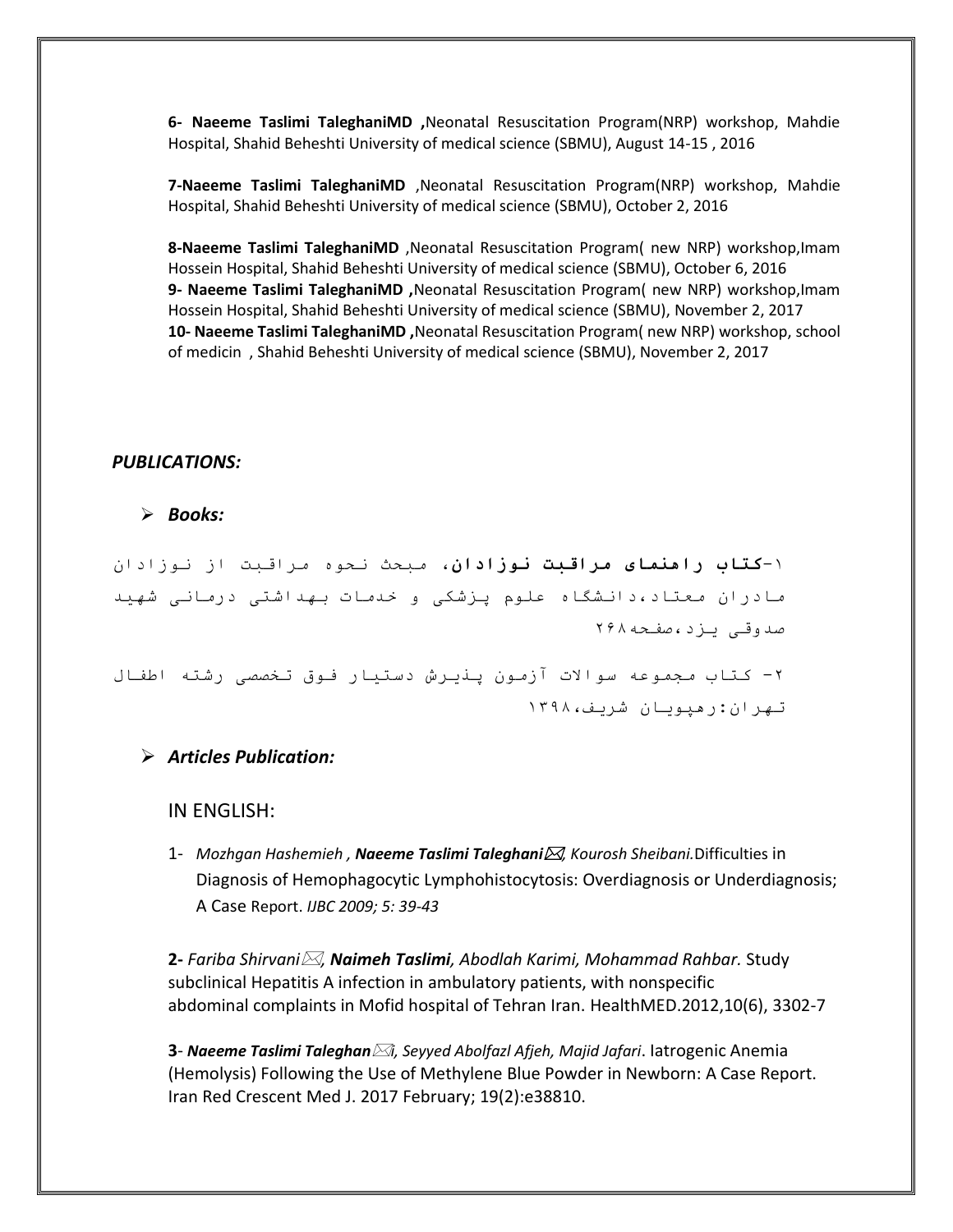**6- Naeeme Taslimi TaleghaniMD ,**Neonatal Resuscitation Program(NRP) workshop, Mahdie Hospital, Shahid Beheshti University of medical science (SBMU), August 14-15 , 2016

**7-Naeeme Taslimi TaleghaniMD** ,Neonatal Resuscitation Program(NRP) workshop, Mahdie Hospital, Shahid Beheshti University of medical science (SBMU), October 2, 2016

**8-Naeeme Taslimi TaleghaniMD** ,Neonatal Resuscitation Program( new NRP) workshop,Imam Hossein Hospital, Shahid Beheshti University of medical science (SBMU), October 6, 2016 **9- Naeeme Taslimi TaleghaniMD ,**Neonatal Resuscitation Program( new NRP) workshop,Imam Hossein Hospital, Shahid Beheshti University of medical science (SBMU), November 2, 2017 **10- Naeeme Taslimi TaleghaniMD ,**Neonatal Resuscitation Program( new NRP) workshop, school of medicin , Shahid Beheshti University of medical science (SBMU), November 2, 2017

#### *PUBLICATIONS:*

*Books:*

-1**کتاب راهنمای مراقبت نوزادان**، مبحث نحوه مراقبت از نوزادان مادران معتاد،دانشگاه علوم پزشکی و خدمات بهداشتی درمانی شهید صدوقی یزد،صفحه862

-8 کتاب مجموعه سواالت آزمون پذیرش دستیار فوق تخصصی رشته اطفال تهران:رهپویان شریف1932،

#### *Articles Publication:*

IN ENGLISH:

1- *Mozhgan Hashemieh , Naeeme Taslimi Taleghani, Kourosh Sheibani.*Difficulties in Diagnosis of Hemophagocytic Lymphohistocytosis: Overdiagnosis or Underdiagnosis; A Case Report. *IJBC 2009; 5: 39-43*

**2-** *Fariba Shirvani, Naimeh Taslimi, Abodlah Karimi, Mohammad Rahbar.* Study subclinical Hepatitis A infection in ambulatory patients, with nonspecific abdominal complaints in Mofid hospital of Tehran Iran. HealthMED.2012,10(6), 3302-7

**3**- *Naeeme Taslimi Taleghani, Seyyed Abolfazl Afjeh, Majid Jafari*. Iatrogenic Anemia (Hemolysis) Following the Use of Methylene Blue Powder in Newborn: A Case Report. Iran Red Crescent Med J. 2017 February; 19(2):e38810.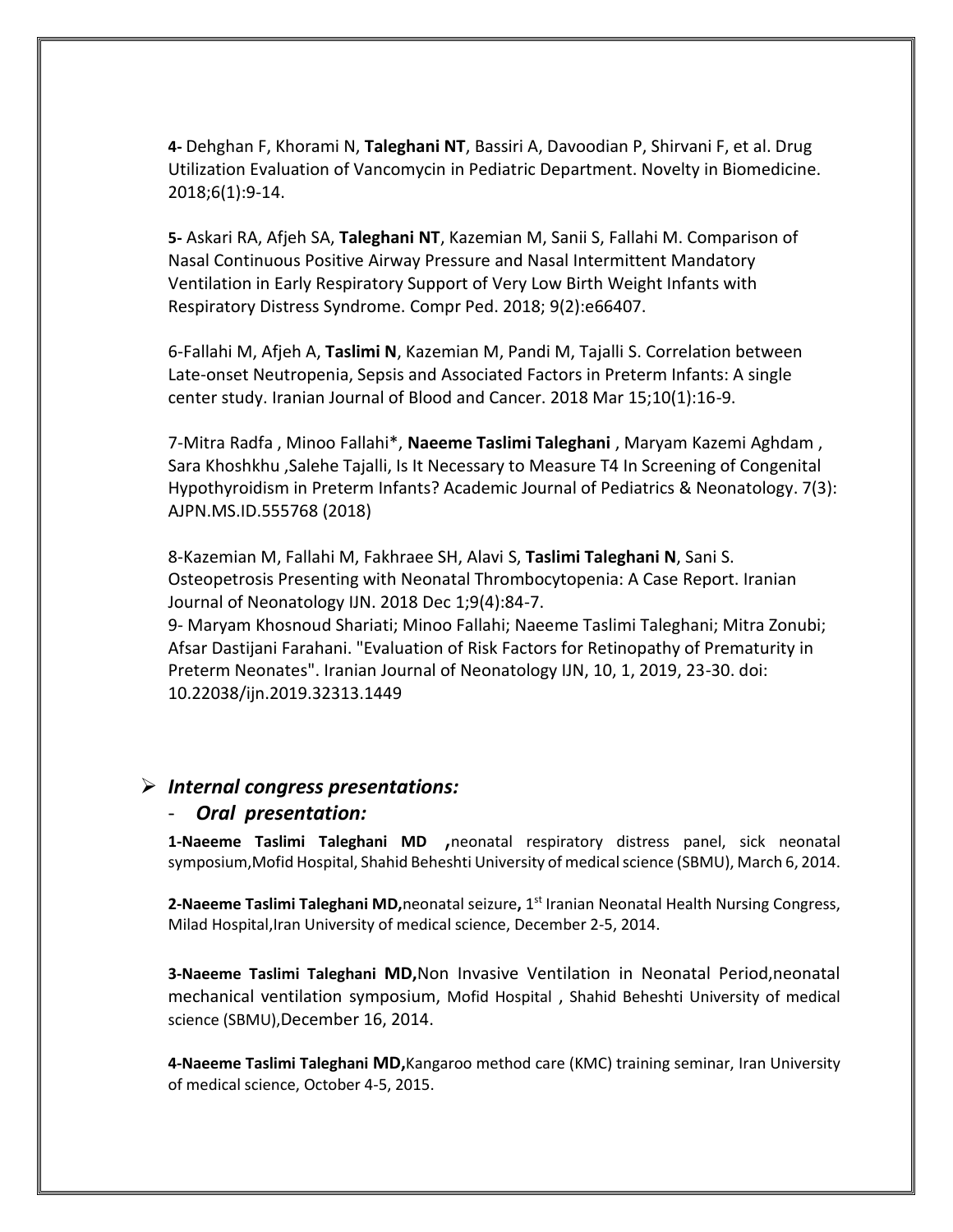**4-** Dehghan F, Khorami N, **Taleghani NT**, Bassiri A, Davoodian P, Shirvani F, et al. Drug Utilization Evaluation of Vancomycin in Pediatric Department. Novelty in Biomedicine. 2018;6(1):9-14.

**5-** Askari RA, Afjeh SA, **Taleghani NT**, Kazemian M, Sanii S, Fallahi M. Comparison of Nasal Continuous Positive Airway Pressure and Nasal Intermittent Mandatory Ventilation in Early Respiratory Support of Very Low Birth Weight Infants with Respiratory Distress Syndrome. Compr Ped. 2018; 9(2):e66407.

6-Fallahi M, Afjeh A, **Taslimi N**, Kazemian M, Pandi M, Tajalli S. Correlation between Late-onset Neutropenia, Sepsis and Associated Factors in Preterm Infants: A single center study. Iranian Journal of Blood and Cancer. 2018 Mar 15;10(1):16-9.

7-Mitra Radfa , Minoo Fallahi\*, **Naeeme Taslimi Taleghani** , Maryam Kazemi Aghdam , Sara Khoshkhu ,Salehe Tajalli, Is It Necessary to Measure T4 In Screening of Congenital Hypothyroidism in Preterm Infants? Academic Journal of Pediatrics & Neonatology. 7(3): AJPN.MS.ID.555768 (2018)

8-Kazemian M, Fallahi M, Fakhraee SH, Alavi S, **Taslimi Taleghani N**, Sani S. Osteopetrosis Presenting with Neonatal Thrombocytopenia: A Case Report. Iranian Journal of Neonatology IJN. 2018 Dec 1;9(4):84-7.

9- Maryam Khosnoud Shariati; Minoo Fallahi; Naeeme Taslimi Taleghani; Mitra Zonubi; Afsar Dastijani Farahani. "Evaluation of Risk Factors for Retinopathy of Prematurity in Preterm Neonates". Iranian Journal of Neonatology IJN, 10, 1, 2019, 23-30. doi: 10.22038/ijn.2019.32313.1449

#### *Internal congress presentations:*

#### - *Oral presentation:*

**1-Naeeme Taslimi Taleghani MD** ,neonatal respiratory distress panel, sick neonatal symposium,Mofid Hospital, Shahid Beheshti University of medical science (SBMU), March 6, 2014.

2-Naeeme Taslimi Taleghani MD, neonatal seizure, 1<sup>st</sup> Iranian Neonatal Health Nursing Congress, Milad Hospital, Iran University of medical science, December 2-5, 2014.

**3-Naeeme Taslimi Taleghani MD,**Non Invasive Ventilation in Neonatal Period,neonatal mechanical ventilation symposium, Mofid Hospital , Shahid Beheshti University of medical science (SBMU),December 16, 2014.

**4-Naeeme Taslimi Taleghani MD,**Kangaroo method care (KMC) training seminar, Iran University of medical science, October 4-5, 2015.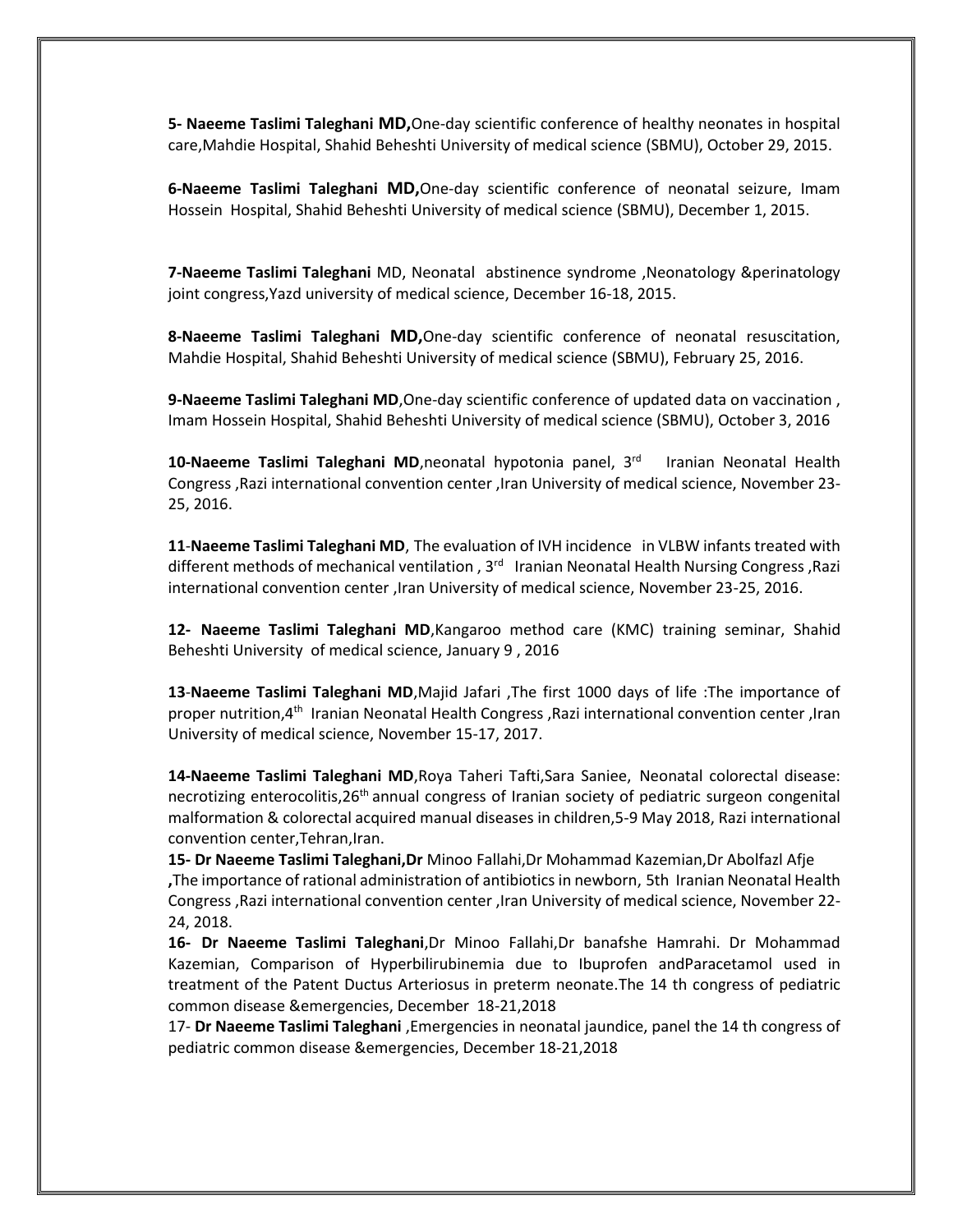**5- Naeeme Taslimi Taleghani MD,**One-day scientific conference of healthy neonates in hospital care,Mahdie Hospital, Shahid Beheshti University of medical science (SBMU), October 29, 2015.

**6-Naeeme Taslimi Taleghani MD,**One-day scientific conference of neonatal seizure, Imam Hossein Hospital, Shahid Beheshti University of medical science (SBMU), December 1, 2015.

**7-Naeeme Taslimi Taleghani** MD, Neonatal abstinence syndrome ,Neonatology &perinatology joint congress,Yazd university of medical science, December 16-18, 2015.

**8-Naeeme Taslimi Taleghani MD,**One-day scientific conference of neonatal resuscitation, Mahdie Hospital, Shahid Beheshti University of medical science (SBMU), February 25, 2016.

**9-Naeeme Taslimi Taleghani MD**,One-day scientific conference of updated data on vaccination , Imam Hossein Hospital, Shahid Beheshti University of medical science (SBMU), October 3, 2016

10-Naeeme Taslimi Taleghani MD,neonatal hypotonia panel, 3<sup>rd</sup> Iranian Neonatal Health Congress ,Razi international convention center ,Iran University of medical science, November 23- 25, 2016.

**11**-**Naeeme Taslimi Taleghani MD**, The evaluation of IVH incidence in VLBW infants treated with different methods of mechanical ventilation, 3<sup>rd</sup> Iranian Neonatal Health Nursing Congress, Razi international convention center ,Iran University of medical science, November 23-25, 2016.

**12- Naeeme Taslimi Taleghani MD**,Kangaroo method care (KMC) training seminar, Shahid Beheshti University of medical science, January 9 , 2016

**13**-**Naeeme Taslimi Taleghani MD**,Majid Jafari ,The first 1000 days of life :The importance of proper nutrition,4th Iranian Neonatal Health Congress ,Razi international convention center ,Iran University of medical science, November 15-17, 2017.

**14-Naeeme Taslimi Taleghani MD**,Roya Taheri Tafti,Sara Saniee, Neonatal colorectal disease: necrotizing enterocolitis, 26<sup>th</sup> annual congress of Iranian society of pediatric surgeon congenital malformation & colorectal acquired manual diseases in children,5-9 May 2018, Razi international convention center,Tehran,Iran.

**15- Dr Naeeme Taslimi Taleghani,Dr** Minoo Fallahi,Dr Mohammad Kazemian,Dr Abolfazl Afje **,**The importance of rational administration of antibiotics in newborn, 5th Iranian Neonatal Health Congress ,Razi international convention center ,Iran University of medical science, November 22- 24, 2018.

**16- Dr Naeeme Taslimi Taleghani**,Dr Minoo Fallahi,Dr banafshe Hamrahi. Dr Mohammad Kazemian, Comparison of Hyperbilirubinemia due to Ibuprofen andParacetamol used in treatment of the Patent Ductus Arteriosus in preterm neonate.The 14 th congress of pediatric common disease &emergencies, December 18-21,2018

17- **Dr Naeeme Taslimi Taleghani** ,Emergencies in neonatal jaundice, panel the 14 th congress of pediatric common disease &emergencies, December 18-21,2018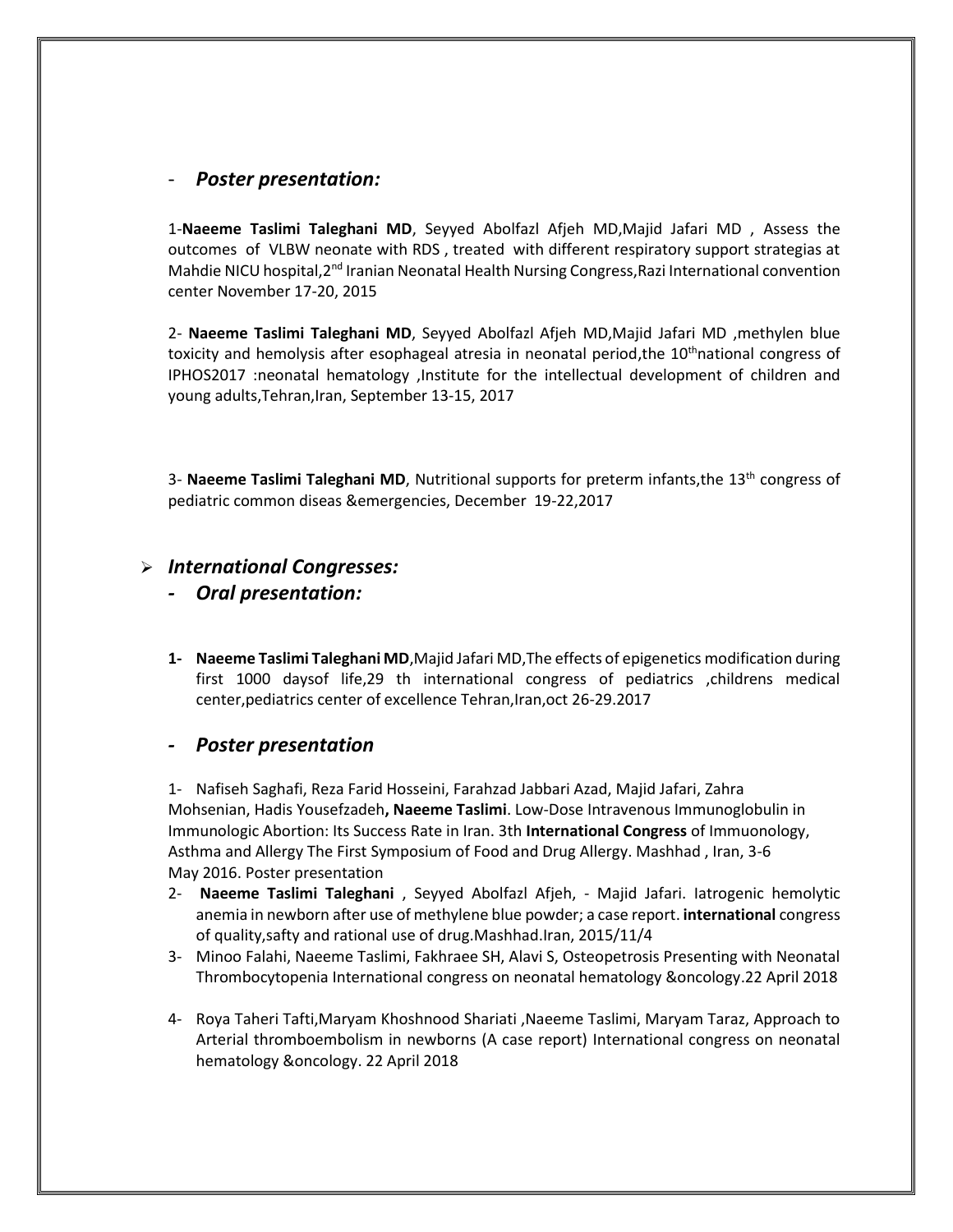### - *Poster presentation:*

1-**Naeeme Taslimi Taleghani MD**, Seyyed Abolfazl Afjeh MD,Majid Jafari MD , Assess the outcomes of VLBW neonate with RDS , treated with different respiratory support strategias at Mahdie NICU hospital, 2<sup>nd</sup> Iranian Neonatal Health Nursing Congress, Razi International convention center November 17-20, 2015

2- **Naeeme Taslimi Taleghani MD**, Seyyed Abolfazl Afjeh MD,Majid Jafari MD ,methylen blue toxicity and hemolysis after esophageal atresia in neonatal period, the  $10<sup>th</sup>$ national congress of IPHOS2017 :neonatal hematology ,Institute for the intellectual development of children and young adults,Tehran,Iran, September 13-15, 2017

3- Naeeme Taslimi Taleghani MD, Nutritional supports for preterm infants, the 13<sup>th</sup> congress of pediatric common diseas &emergencies, December 19-22,2017

### *International Congresses:*

### *- Oral presentation:*

**1- Naeeme Taslimi Taleghani MD**,Majid Jafari MD,The effects of epigenetics modification during first 1000 daysof life,29 th international congress of pediatrics ,childrens medical center,pediatrics center of excellence Tehran,Iran,oct 26-29.2017

### *- Poster presentation*

1- Nafiseh Saghafi, Reza Farid Hosseini, Farahzad Jabbari Azad, Majid Jafari, Zahra Mohsenian, Hadis Yousefzadeh**, Naeeme Taslimi**. Low-Dose Intravenous Immunoglobulin in Immunologic Abortion: Its Success Rate in Iran. 3th **International Congress** of Immuonology, Asthma and Allergy The First Symposium of Food and Drug Allergy. Mashhad , Iran, 3-6 May 2016. Poster presentation

- 2- **Naeeme Taslimi Taleghani** , Seyyed Abolfazl Afjeh, Majid Jafari. Iatrogenic hemolytic anemia in newborn after use of methylene blue powder; a case report. **international** congress of quality,safty and rational use of drug.Mashhad.Iran, 2015/11/4
- 3- Minoo Falahi, Naeeme Taslimi, Fakhraee SH, Alavi S, Osteopetrosis Presenting with Neonatal Thrombocytopenia International congress on neonatal hematology &oncology.22 April 2018
- 4- Roya Taheri Tafti,Maryam Khoshnood Shariati ,Naeeme Taslimi, Maryam Taraz, Approach to Arterial thromboembolism in newborns (A case report) International congress on neonatal hematology &oncology. 22 April 2018